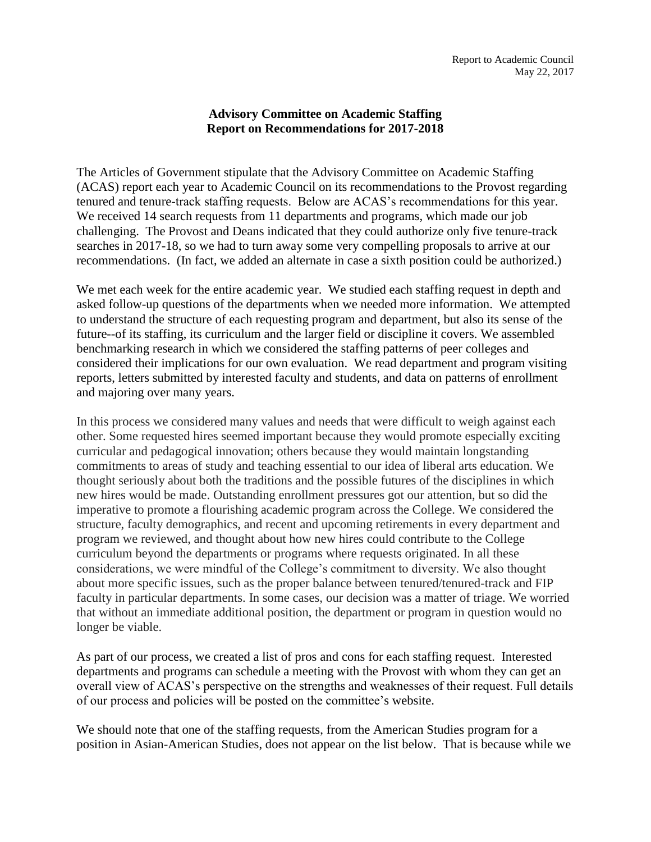## **Advisory Committee on Academic Staffing Report on Recommendations for 2017-2018**

The Articles of Government stipulate that the Advisory Committee on Academic Staffing (ACAS) report each year to Academic Council on its recommendations to the Provost regarding tenured and tenure-track staffing requests. Below are ACAS's recommendations for this year. We received 14 search requests from 11 departments and programs, which made our job challenging. The Provost and Deans indicated that they could authorize only five tenure-track searches in 2017-18, so we had to turn away some very compelling proposals to arrive at our recommendations. (In fact, we added an alternate in case a sixth position could be authorized.)

We met each week for the entire academic year. We studied each staffing request in depth and asked follow-up questions of the departments when we needed more information. We attempted to understand the structure of each requesting program and department, but also its sense of the future--of its staffing, its curriculum and the larger field or discipline it covers. We assembled benchmarking research in which we considered the staffing patterns of peer colleges and considered their implications for our own evaluation. We read department and program visiting reports, letters submitted by interested faculty and students, and data on patterns of enrollment and majoring over many years.

In this process we considered many values and needs that were difficult to weigh against each other. Some requested hires seemed important because they would promote especially exciting curricular and pedagogical innovation; others because they would maintain longstanding commitments to areas of study and teaching essential to our idea of liberal arts education. We thought seriously about both the traditions and the possible futures of the disciplines in which new hires would be made. Outstanding enrollment pressures got our attention, but so did the imperative to promote a flourishing academic program across the College. We considered the structure, faculty demographics, and recent and upcoming retirements in every department and program we reviewed, and thought about how new hires could contribute to the College curriculum beyond the departments or programs where requests originated. In all these considerations, we were mindful of the College's commitment to diversity. We also thought about more specific issues, such as the proper balance between tenured/tenured-track and FIP faculty in particular departments. In some cases, our decision was a matter of triage. We worried that without an immediate additional position, the department or program in question would no longer be viable.

As part of our process, we created a list of pros and cons for each staffing request. Interested departments and programs can schedule a meeting with the Provost with whom they can get an overall view of ACAS's perspective on the strengths and weaknesses of their request. Full details of our process and policies will be posted on the committee's website.

We should note that one of the staffing requests, from the American Studies program for a position in Asian-American Studies, does not appear on the list below. That is because while we